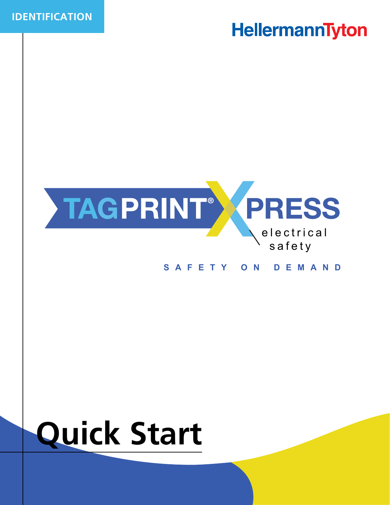



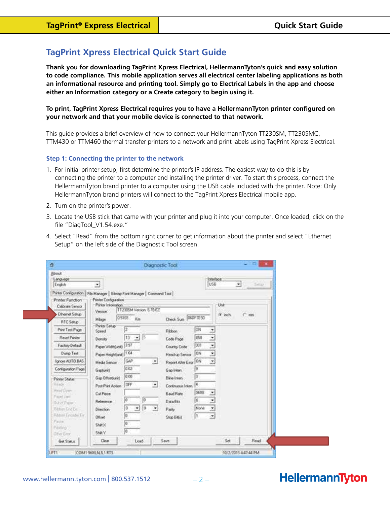### **TagPrint Xpress Electrical Quick Start Guide**

**Thank you for downloading TagPrint Xpress Electrical, HellermannTyton's quick and easy solution to code compliance. This mobile application serves all electrical center labeling applications as both an informational resource and printing tool. Simply go to Electrical Labels in the app and choose either an Information category or a Create category to begin using it.** 

#### **To print, TagPrint Xpress Electrical requires you to have a HellermannTyton printer configured on your network and that your mobile device is connected to that network.**

This guide provides a brief overview of how to connect your HellermannTyton TT230SM, TT230SMC, TTM430 or TTM460 thermal transfer printers to a network and print labels using TagPrint Xpress Electrical.

#### **Step 1: Connecting the printer to the network**

- 1. For initial printer setup, first determine the printer's IP address. The easiest way to do this is by connecting the printer to a computer and installing the printer driver. To start this process, connect the HellermannTyton brand printer to a computer using the USB cable included with the printer. Note: Only HellermannTyton brand printers will connect to the TagPrint Xpress Electrical mobile app.
- 2. Turn on the printer's power.
- 3. Locate the USB stick that came with your printer and plug it into your computer. Once loaded, click on the file "DiagTool\_V1.54.exe."
- 4. Select "Read" from the bottom right corner to get information about the printer and select "Ethernet Setup" on the left side of the Diagnostic Tool screen.

| About<br>Language<br>English                              |                                                                                                                            | Interlace<br>US8                                                                          | $\bullet$<br>Salton |  |
|-----------------------------------------------------------|----------------------------------------------------------------------------------------------------------------------------|-------------------------------------------------------------------------------------------|---------------------|--|
|                                                           | 븨                                                                                                                          |                                                                                           |                     |  |
| Printer Function<br>Calbrate Sensor                       | Pinter Configuration   File Manager   Bitmap Ford Manager   Command Tool  <br>Piirler Configuration<br>Printer Information |                                                                                           | Unit                |  |
| Ethemet Setup                                             | TT230SM Version: 6,78 EZ<br>Version <sup>1</sup>                                                                           |                                                                                           | G inch<br>$C$ mm    |  |
| <b>RTC Selup</b>                                          | 0.5169<br>Km <sup>3</sup><br>Milage                                                                                        | <b>OGDF7E50</b><br><b>Check Sum</b>                                                       |                     |  |
| Pint Test Page                                            | Piviter Setup<br>臣<br>Speed                                                                                                | CN<br>٠<br>Ribbon.                                                                        |                     |  |
| Recet Porter                                              | 13<br>회<br>35<br>Density                                                                                                   | 050<br>ž<br>Code Page                                                                     |                     |  |
| Factory Default                                           | 12.97<br>Paper Widthfunit)                                                                                                 | Ξ<br>con<br>Country Code:                                                                 |                     |  |
| Dunp Text                                                 | Paper Heightfunk) 1.64                                                                                                     | Ξ<br>DN.<br>Head-up Sensor                                                                |                     |  |
| Ignore AUTO BAS                                           | GAP<br>킈<br>Media Sensor                                                                                                   | $\overline{\phantom{a}}$<br>ON<br>Report Alter Emor-                                      |                     |  |
| Configuration Page                                        | 0.02<br>Gapturitt                                                                                                          | 19<br>Gap Inters                                                                          |                     |  |
| Printer Status<br><b>Things</b><br>Haud Down<br>Faced Jan | 10:00<br>Gap Offsetiunit<br>OFF<br>E.<br>Post-Print Action<br>Cut Piece<br>ĵά<br>ĵ0                                        | 13<br><b>Eline Inten</b><br>l4<br>Continuous Inten.<br>9600<br>×<br><b>Baud Rate</b><br>8 |                     |  |
| DU of Facer.<br><b>RitimEndEn</b><br>Réport Emade En      | Relevence<br>lσ<br>Īΰ<br>븨<br>$\cdot$<br><b>Direction</b><br>ю                                                             | Ξ<br>Data Bits<br>None<br>ž<br>Party:                                                     |                     |  |
| Paula<br>PW5no"<br>Difiel Eliza                           | Offset<br>叵<br>Shack?<br>顶<br>SHAY                                                                                         | l 1<br>Z.<br>Stop Bitfs!                                                                  |                     |  |
| Get Status                                                | Clear<br>Load                                                                                                              | Save.                                                                                     | Set<br>Flead        |  |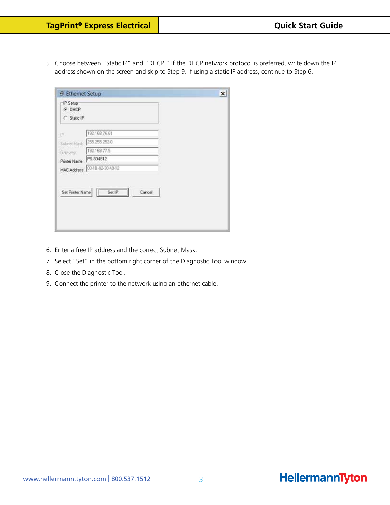5. Choose between "Static IP" and "DHCP." If the DHCP network protocol is preferred, write down the IP address shown on the screen and skip to Step 9. If using a static IP address, continue to Step 6.

| C Static IP<br>192 168 76 61<br>255.255.252.0<br>Subnet Mask<br>192.168.77.5<br>PS-304912<br>00-18-82-30-49-12<br>MAC Address<br>Set Printer Name<br>Set IP<br>Cancel | IP Setup<br>G DHCP |  |
|-----------------------------------------------------------------------------------------------------------------------------------------------------------------------|--------------------|--|
|                                                                                                                                                                       |                    |  |
|                                                                                                                                                                       | 1P)                |  |
|                                                                                                                                                                       |                    |  |
|                                                                                                                                                                       | Gateway:           |  |
|                                                                                                                                                                       | Printer Name       |  |
|                                                                                                                                                                       |                    |  |
|                                                                                                                                                                       |                    |  |
|                                                                                                                                                                       |                    |  |

- 6. Enter a free IP address and the correct Subnet Mask.
- 7. Select "Set" in the bottom right corner of the Diagnostic Tool window.
- 8. Close the Diagnostic Tool.
- 9. Connect the printer to the network using an ethernet cable.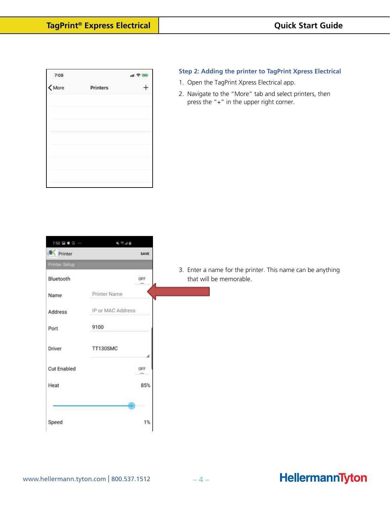| 7:08                                                            |          | $H \approx 22$ |
|-----------------------------------------------------------------|----------|----------------|
| $\left\langle \begin{array}{c} 1 \ 1 \end{array} \right\rangle$ | Printers |                |
|                                                                 |          |                |
|                                                                 |          |                |
|                                                                 |          |                |
|                                                                 |          |                |
|                                                                 |          |                |
|                                                                 |          |                |

#### **Step 2: Adding the printer to TagPrint Xpress Electrical**

- 1. Open the TagPrint Xpress Electrical app.
- 2. Navigate to the "More" tab and select printers, then press the "+" in the upper right corner.

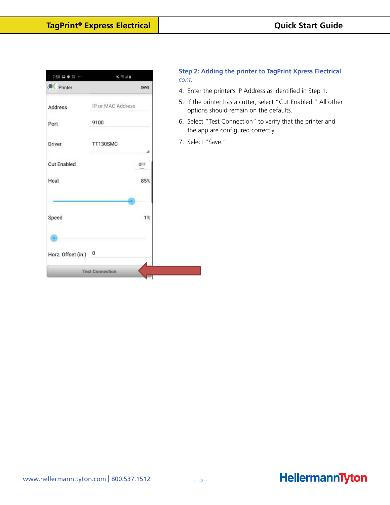| 7:50 ■●日 …           | 4 节止目                  | con          |
|----------------------|------------------------|--------------|
| <b>Printer</b>       |                        | SAVE<br>4. E |
| Address              | IP or MAC Address      | 5.1          |
| Port                 | 9100                   | 6.9          |
| Driver               | TT130SMC               | 7.5<br>⊿     |
| <b>Cut Enabled</b>   |                        | OFF          |
| Heat                 |                        | 85%          |
| Speed                |                        | 1%           |
| Horz. Offset (in.) 0 |                        |              |
|                      | <b>Test Connection</b> |              |

#### **Step 2: Adding the printer to TagPrint Xpress Electrical**  *cont.*

- Enter the printer's IP Address as identified in Step 1.
- If the printer has a cutter, select "Cut Enabled." All other options should remain on the defaults.
- Select "Test Connection" to verify that the printer and the app are configured correctly.
- Select "Save."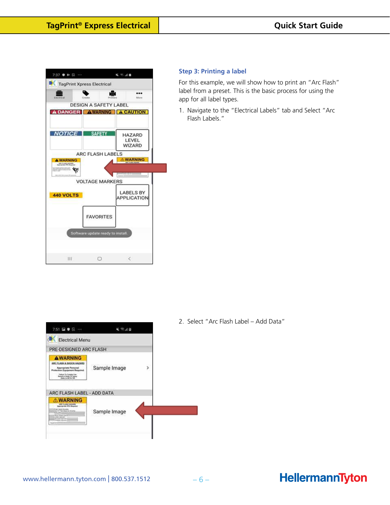| <b>Electricial</b>             | Creato                            |                  |                                  | Mone |
|--------------------------------|-----------------------------------|------------------|----------------------------------|------|
|                                | <b>DESIGN A SAFETY LABEL</b>      |                  |                                  |      |
| DANGER AWARNING A CAUTION<br>Α |                                   |                  |                                  |      |
| <b>NOTICE</b>                  | <b>SAFETY</b>                     |                  | HAZARD<br>LEVEL<br><b>WIZARD</b> |      |
|                                | <b>ARC FLASH LABELS</b>           |                  |                                  |      |
| A WARNING<br>ABE FLARE SACARE  |                                   |                  | <b>NARNING</b>                   |      |
|                                |                                   |                  |                                  |      |
|                                |                                   |                  |                                  |      |
|                                | <b>VOLTAGE MARKERS</b>            |                  |                                  |      |
| <b>440 VOLTS</b>               |                                   |                  | <b>LABELS BY</b><br>APPLICATION  |      |
|                                |                                   | <b>FAVORITES</b> |                                  |      |
|                                | Software update ready to install. |                  |                                  |      |
|                                |                                   |                  |                                  |      |

#### **Step 3: Printing a label**

For this example, we will show how to print an "Arc Flash" label from a preset. This is the basic process for using the app for all label types.

1. Navigate to the "Electrical Labels" tab and Select "Arc Flash Labels."



2. Select "Arc Flash Label - Add Data"

#### www.hellermann.tyton.com | 800.537.1512  $-6-$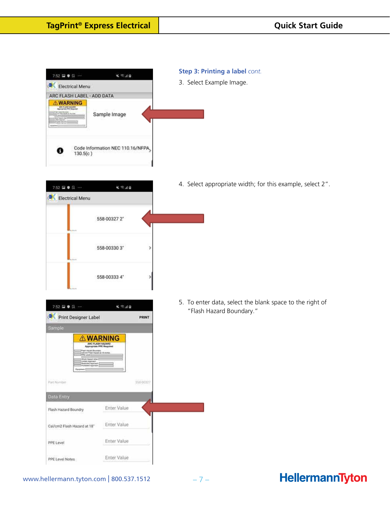

- **Step 3: Printing a label** *cont.*
- 3. Select Example Image.



4. Select appropriate width; for this example, select 2".

5. To enter data, select the blank space to the right of "Flash Hazard Boundary."